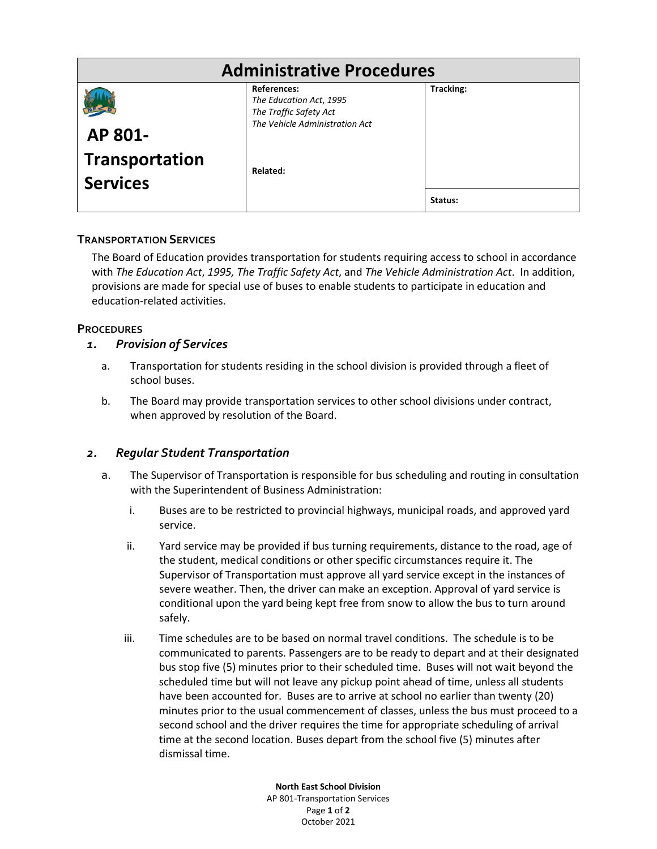| <b>Administrative Procedures</b>  |                                                                                                    |           |
|-----------------------------------|----------------------------------------------------------------------------------------------------|-----------|
| AP 801-                           | References:<br>The Education Act, 1995<br>The Traffic Safety Act<br>The Vehicle Administration Act | Tracking: |
| Transportation<br><b>Services</b> | Related:                                                                                           | Status:   |

## **TRANSPORTATION SERVICES**

The Board of Education provides transportation for students requiring access to school in accordance with *The Education Act*, *1995, The Traffic Safety Act*, and *The Vehicle Administration Act*. In addition, provisions are made for special use of buses to enable students to participate in education and education-related activities.

## **PROCEDURES**

- *1. Provision of Services*
	- a. Transportation for students residing in the school division is provided through a fleet of school buses.
	- b. The Board may provide transportation services to other school divisions under contract, when approved by resolution of the Board.

## *2. Regular Student Transportation*

- a. The Supervisor of Transportation is responsible for bus scheduling and routing in consultation with the Superintendent of Business Administration:
	- i. Buses are to be restricted to provincial highways, municipal roads, and approved yard service.
	- ii. Yard service may be provided if bus turning requirements, distance to the road, age of the student, medical conditions or other specific circumstances require it. The Supervisor of Transportation must approve all yard service except in the instances of severe weather. Then, the driver can make an exception. Approval of yard service is conditional upon the yard being kept free from snow to allow the bus to turn around safely.
	- iii. Time schedules are to be based on normal travel conditions. The schedule is to be communicated to parents. Passengers are to be ready to depart and at their designated bus stop five (5) minutes prior to their scheduled time. Buses will not wait beyond the scheduled time but will not leave any pickup point ahead of time, unless all students have been accounted for. Buses are to arrive at school no earlier than twenty (20) minutes prior to the usual commencement of classes, unless the bus must proceed to a second school and the driver requires the time for appropriate scheduling of arrival time at the second location. Buses depart from the school five (5) minutes after dismissal time.

**North East School Division** AP 801-Transportation Services Page **1** of **2** October 2021